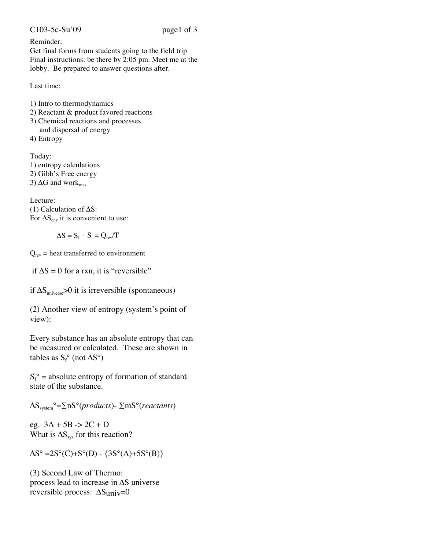## Reminder:

Get final forms from students going to the field trip Final instructions: be there by 2:05 pm. Meet me at the lobby. Be prepared to answer questions after.

Last time:

1) Intro to thermodynamics

- 2) Reactant & product favored reactions
- 3) Chemical reactions and processes and dispersal of energy
- 4) Entropy

Today: 1) entropy calculations

2) Gibb's Free energy

3)  $\Delta G$  and work $_{max}$ 

Lecture: (1) Calculation of  $\Delta S$ : For  $\Delta S_{\text{env}}$  it is convenient to use:

$$
\Delta S = S_{\rm f} - S_{\rm i} = Q_{\rm rev}/T
$$

 $Q_{rev}$  = heat transferred to environment

if  $\Delta S = 0$  for a rxn, it is "reversible"

if  $\Delta S_{\text{universe}} > 0$  it is irreversible (spontaneous)

(2) Another view of entropy (system's point of view):

Every substance has an absolute entropy that can be measured or calculated. These are shown in tables as  $S_f^{\circ}$  (not  $\Delta S^{\circ}$ )

 $S_f^{\circ}$  = absolute entropy of formation of standard state of the substance.

 $\Delta S_{\text{system}}^{\circ} = \sum nS^{\circ} (products) - \sum mS^{\circ} (reactants)$ 

eg.  $3A + 5B \rightarrow 2C + D$ What is  $\Delta S_{sys}$  for this reaction?

 $\Delta S^{\circ} = 2S^{\circ}(C) + S^{\circ}(D) - \{3S^{\circ}(A) + 5S^{\circ}(B)\}$ 

(3) Second Law of Thermo: process lead to increase in  $\Delta S$  universe reversible process:  $\Delta S_{\text{univ}} = 0$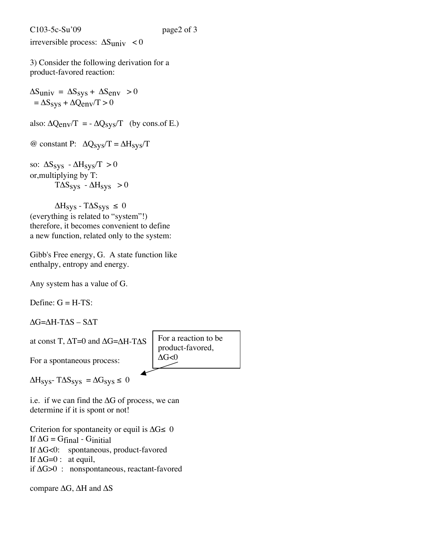irreversible process:  $\Delta S_{\text{univ}} < 0$ 

3) Consider the following derivation for a product-favored reaction:

 $\Delta S_{\text{univ}} = \Delta S_{\text{sys}} + \Delta S_{\text{env}} > 0$  $= \Delta S_{sys} + \Delta Q_{env}/T > 0$ 

also:  $\Delta Q_{env}/T = -\Delta Q_{sys}/T$  (by cons.of E.)

@ constant P:  $\Delta Q_{sys}/T = \Delta H_{sys}/T$ 

so:  $\Delta S_{sys}$  -  $\Delta H_{sys}/T > 0$ or,multiplying by T:  $T\Delta S_{sys} - \Delta H_{sys} > 0$ 

 $\Delta H_{sys}$  - T $\Delta S_{sys} \le 0$ (everything is related to "system"!) therefore, it becomes convenient to define a new function, related only to the system:

Gibb's Free energy, G. A state function like enthalpy, entropy and energy.

Any system has a value of G.

Define:  $G = H - TS$ :

 $\Delta G = \Delta H - T \Delta S - S \Delta T$ 

at const T,  $\Delta T = 0$  and  $\Delta G = \Delta H - T \Delta S$ 

For a reaction to be product-favored,  $\Delta G<0$ 

 $\Delta H_{sys}$ - T $\Delta S_{sys} = \Delta G_{sys} \le 0$ 

For a spontaneous process:

i.e. if we can find the  $\Delta G$  of process, we can determine if it is spont or not!

Criterion for spontaneity or equil is  $\Delta G \leq 0$ If  $\Delta G = G$ final - Ginitial If  $\Delta G \lt 0$ : spontaneous, product-favored If  $\Delta G=0$ : at equil, if  $\Delta G > 0$ : nonspontaneous, reactant-favored

compare  $\Delta G$ ,  $\Delta H$  and  $\Delta S$